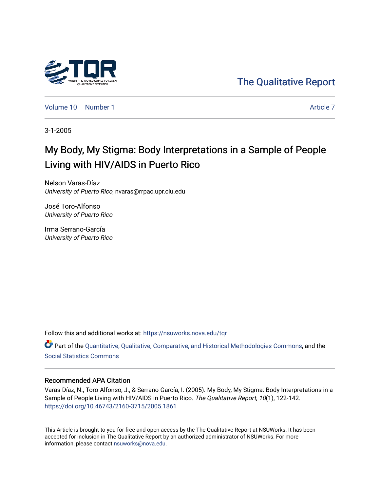

[The Qualitative Report](https://nsuworks.nova.edu/tqr) 

[Volume 10](https://nsuworks.nova.edu/tqr/vol10) [Number 1](https://nsuworks.nova.edu/tqr/vol10/iss1) Article 7

3-1-2005

# My Body, My Stigma: Body Interpretations in a Sample of People Living with HIV/AIDS in Puerto Rico

Nelson Varas-Díaz University of Puerto Rico, nvaras@rrpac.upr.clu.edu

José Toro-Alfonso University of Puerto Rico

Irma Serrano-García University of Puerto Rico

Follow this and additional works at: [https://nsuworks.nova.edu/tqr](https://nsuworks.nova.edu/tqr?utm_source=nsuworks.nova.edu%2Ftqr%2Fvol10%2Fiss1%2F7&utm_medium=PDF&utm_campaign=PDFCoverPages) 

Part of the [Quantitative, Qualitative, Comparative, and Historical Methodologies Commons,](http://network.bepress.com/hgg/discipline/423?utm_source=nsuworks.nova.edu%2Ftqr%2Fvol10%2Fiss1%2F7&utm_medium=PDF&utm_campaign=PDFCoverPages) and the [Social Statistics Commons](http://network.bepress.com/hgg/discipline/1275?utm_source=nsuworks.nova.edu%2Ftqr%2Fvol10%2Fiss1%2F7&utm_medium=PDF&utm_campaign=PDFCoverPages) 

## Recommended APA Citation

Varas-Díaz, N., Toro-Alfonso, J., & Serrano-García, I. (2005). My Body, My Stigma: Body Interpretations in a Sample of People Living with HIV/AIDS in Puerto Rico. The Qualitative Report, 10(1), 122-142. <https://doi.org/10.46743/2160-3715/2005.1861>

This Article is brought to you for free and open access by the The Qualitative Report at NSUWorks. It has been accepted for inclusion in The Qualitative Report by an authorized administrator of NSUWorks. For more information, please contact [nsuworks@nova.edu.](mailto:nsuworks@nova.edu)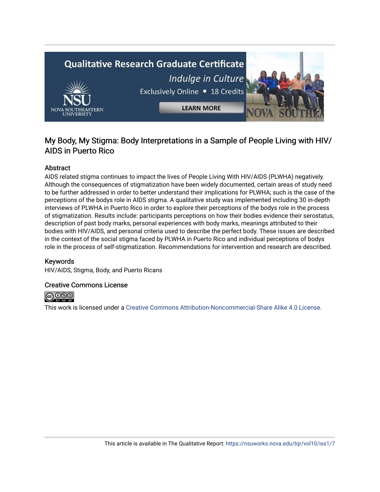# **Qualitative Research Graduate Certificate** Indulge in Culture Exclusively Online . 18 Credits **LEARN MORE**

# My Body, My Stigma: Body Interpretations in a Sample of People Living with HIV/ AIDS in Puerto Rico

# Abstract

AIDS related stigma continues to impact the lives of People Living With HIV/AIDS (PLWHA) negatively. Although the consequences of stigmatization have been widely documented, certain areas of study need to be further addressed in order to better understand their implications for PLWHA; such is the case of the perceptions of the bodys role in AIDS stigma. A qualitative study was implemented including 30 in-depth interviews of PLWHA in Puerto Rico in order to explore their perceptions of the bodys role in the process of stigmatization. Results include: participants perceptions on how their bodies evidence their serostatus, description of past body marks, personal experiences with body marks, meanings attributed to their bodies with HIV/AIDS, and personal criteria used to describe the perfect body. These issues are described in the context of the social stigma faced by PLWHA in Puerto Rico and individual perceptions of bodys role in the process of self-stigmatization. Recommendations for intervention and research are described.

## Keywords

HIV/AIDS, Stigma, Body, and Puerto Ricans

## Creative Commons License



This work is licensed under a [Creative Commons Attribution-Noncommercial-Share Alike 4.0 License](https://creativecommons.org/licenses/by-nc-sa/4.0/).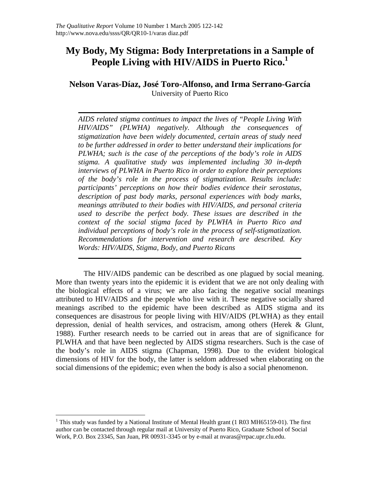# **My Body, My Stigma: Body Interpretations in a Sample of**  People Living with HIV/AIDS in Puerto Rico.<sup>1</sup>

# **Nelson Varas-Díaz, José Toro-Alfonso, and Irma Serrano-García**  University of Puerto Rico

*AIDS related stigma continues to impact the lives of "People Living With HIV/AIDS" (PLWHA) negatively. Although the consequences of stigmatization have been widely documented, certain areas of study need to be further addressed in order to better understand their implications for PLWHA; such is the case of the perceptions of the body's role in AIDS stigma. A qualitative study was implemented including 30 in-depth interviews of PLWHA in Puerto Rico in order to explore their perceptions of the body's role in the process of stigmatization. Results include: participants' perceptions on how their bodies evidence their serostatus, description of past body marks, personal experiences with body marks, meanings attributed to their bodies with HIV/AIDS, and personal criteria used to describe the perfect body. These issues are described in the context of the social stigma faced by PLWHA in Puerto Rico and individual perceptions of body's role in the process of self-stigmatization. Recommendations for intervention and research are described. Key Words: HIV/AIDS, Stigma, Body, and Puerto Ricans* 

The HIV/AIDS pandemic can be described as one plagued by social meaning. More than twenty years into the epidemic it is evident that we are not only dealing with the biological effects of a virus; we are also facing the negative social meanings attributed to HIV/AIDS and the people who live with it. These negative socially shared meanings ascribed to the epidemic have been described as AIDS stigma and its consequences are disastrous for people living with HIV/AIDS (PLWHA) as they entail depression, denial of health services, and ostracism, among others (Herek & Glunt, 1988). Further research needs to be carried out in areas that are of significance for PLWHA and that have been neglected by AIDS stigma researchers. Such is the case of the body's role in AIDS stigma (Chapman, 1998). Due to the evident biological dimensions of HIV for the body, the latter is seldom addressed when elaborating on the social dimensions of the epidemic; even when the body is also a social phenomenon.

 $\overline{a}$ 

<sup>&</sup>lt;sup>1</sup> This study was funded by a National Institute of Mental Health grant (1 R03 MH65159-01). The first author can be contacted through regular mail at University of Puerto Rico, Graduate School of Social Work, P.O. Box 23345, San Juan, PR 00931-3345 or by e-mail at nvaras@rrpac.upr.clu.edu.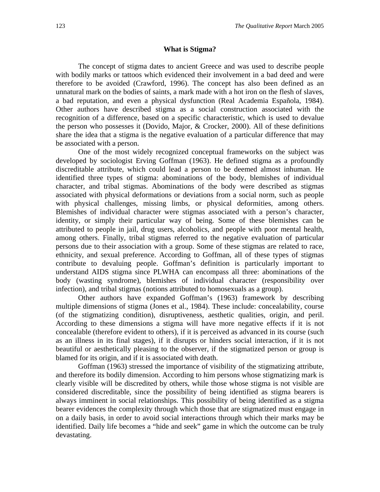#### **What is Stigma?**

The concept of stigma dates to ancient Greece and was used to describe people with bodily marks or tattoos which evidenced their involvement in a bad deed and were therefore to be avoided (Crawford, 1996). The concept has also been defined as an unnatural mark on the bodies of saints, a mark made with a hot iron on the flesh of slaves, a bad reputation, and even a physical dysfunction (Real Academia Española, 1984). Other authors have described stigma as a social construction associated with the recognition of a difference, based on a specific characteristic, which is used to devalue the person who possesses it (Dovido, Major, & Crocker, 2000). All of these definitions share the idea that a stigma is the negative evaluation of a particular difference that may be associated with a person.

One of the most widely recognized conceptual frameworks on the subject was developed by sociologist Erving Goffman (1963). He defined stigma as a profoundly discreditable attribute, which could lead a person to be deemed almost inhuman. He identified three types of stigma: abominations of the body, blemishes of individual character, and tribal stigmas. Abominations of the body were described as stigmas associated with physical deformations or deviations from a social norm, such as people with physical challenges, missing limbs, or physical deformities, among others. Blemishes of individual character were stigmas associated with a person's character, identity, or simply their particular way of being. Some of these blemishes can be attributed to people in jail, drug users, alcoholics, and people with poor mental health, among others. Finally, tribal stigmas referred to the negative evaluation of particular persons due to their association with a group. Some of these stigmas are related to race, ethnicity, and sexual preference. According to Goffman, all of these types of stigmas contribute to devaluing people. Goffman's definition is particularly important to understand AIDS stigma since PLWHA can encompass all three: abominations of the body (wasting syndrome), blemishes of individual character (responsibility over infection), and tribal stigmas (notions attributed to homosexuals as a group).

Other authors have expanded Goffman's (1963) framework by describing multiple dimensions of stigma (Jones et al., 1984). These include: concealability, course (of the stigmatizing condition), disruptiveness, aesthetic qualities, origin, and peril. According to these dimensions a stigma will have more negative effects if it is not concealable (therefore evident to others), if it is perceived as advanced in its course (such as an illness in its final stages), if it disrupts or hinders social interaction, if it is not beautiful or aesthetically pleasing to the observer, if the stigmatized person or group is blamed for its origin, and if it is associated with death.

Goffman (1963) stressed the importance of visibility of the stigmatizing attribute, and therefore its bodily dimension. According to him persons whose stigmatizing mark is clearly visible will be discredited by others, while those whose stigma is not visible are considered discreditable, since the possibility of being identified as stigma bearers is always imminent in social relationships. This possibility of being identified as a stigma bearer evidences the complexity through which those that are stigmatized must engage in on a daily basis, in order to avoid social interactions through which their marks may be identified. Daily life becomes a "hide and seek" game in which the outcome can be truly devastating.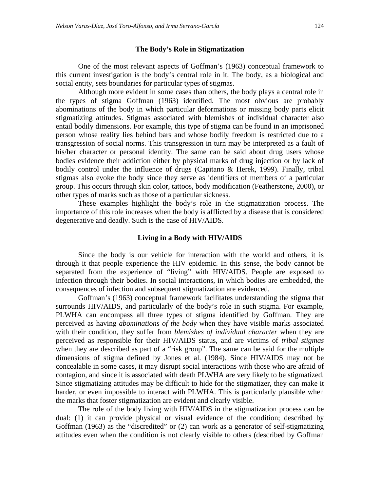#### **The Body's Role in Stigmatization**

One of the most relevant aspects of Goffman's (1963) conceptual framework to this current investigation is the body's central role in it. The body, as a biological and social entity, sets boundaries for particular types of stigmas.

Although more evident in some cases than others, the body plays a central role in the types of stigma Goffman (1963) identified. The most obvious are probably abominations of the body in which particular deformations or missing body parts elicit stigmatizing attitudes. Stigmas associated with blemishes of individual character also entail bodily dimensions. For example, this type of stigma can be found in an imprisoned person whose reality lies behind bars and whose bodily freedom is restricted due to a transgression of social norms. This transgression in turn may be interpreted as a fault of his/her character or personal identity. The same can be said about drug users whose bodies evidence their addiction either by physical marks of drug injection or by lack of bodily control under the influence of drugs (Capitano & Herek, 1999). Finally, tribal stigmas also evoke the body since they serve as identifiers of members of a particular group. This occurs through skin color, tattoos, body modification (Featherstone, 2000), or other types of marks such as those of a particular sickness.

These examples highlight the body's role in the stigmatization process. The importance of this role increases when the body is afflicted by a disease that is considered degenerative and deadly. Such is the case of HIV/AIDS.

#### **Living in a Body with HIV/AIDS**

Since the body is our vehicle for interaction with the world and others, it is through it that people experience the HIV epidemic. In this sense, the body cannot be separated from the experience of "living" with HIV/AIDS. People are exposed to infection through their bodies. In social interactions, in which bodies are embedded, the consequences of infection and subsequent stigmatization are evidenced.

Goffman's (1963) conceptual framework facilitates understanding the stigma that surrounds HIV/AIDS, and particularly of the body's role in such stigma. For example, PLWHA can encompass all three types of stigma identified by Goffman. They are perceived as having *abominations of the body* when they have visible marks associated with their condition, they suffer from *blemishes of individual character* when they are perceived as responsible for their HIV/AIDS status, and are victims of *tribal stigmas* when they are described as part of a "risk group". The same can be said for the multiple dimensions of stigma defined by Jones et al. (1984). Since HIV/AIDS may not be concealable in some cases, it may disrupt social interactions with those who are afraid of contagion, and since it is associated with death PLWHA are very likely to be stigmatized. Since stigmatizing attitudes may be difficult to hide for the stigmatizer, they can make it harder, or even impossible to interact with PLWHA. This is particularly plausible when the marks that foster stigmatization are evident and clearly visible.

The role of the body living with HIV/AIDS in the stigmatization process can be dual: (1) it can provide physical or visual evidence of the condition; described by Goffman (1963) as the "discredited" or (2) can work as a generator of self-stigmatizing attitudes even when the condition is not clearly visible to others (described by Goffman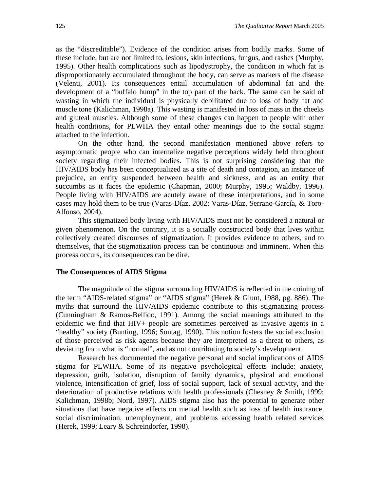as the "discreditable"). Evidence of the condition arises from bodily marks. Some of these include, but are not limited to, lesions, skin infections, fungus, and rashes (Murphy, 1995). Other health complications such as lipodystrophy, the condition in which fat is disproportionately accumulated throughout the body, can serve as markers of the disease (Velenti, 2001). Its consequences entail accumulation of abdominal fat and the development of a "buffalo hump" in the top part of the back. The same can be said of wasting in which the individual is physically debilitated due to loss of body fat and muscle tone (Kalichman, 1998a). This wasting is manifested in loss of mass in the cheeks and gluteal muscles. Although some of these changes can happen to people with other health conditions, for PLWHA they entail other meanings due to the social stigma attached to the infection.

On the other hand, the second manifestation mentioned above refers to asymptomatic people who can internalize negative perceptions widely held throughout society regarding their infected bodies. This is not surprising considering that the HIV/AIDS body has been conceptualized as a site of death and contagion, an instance of prejudice, an entity suspended between health and sickness, and as an entity that succumbs as it faces the epidemic (Chapman, 2000; Murphy, 1995; Waldby, 1996). People living with HIV/AIDS are acutely aware of these interpretations, and in some cases may hold them to be true (Varas-Díaz, 2002; Varas-Díaz, Serrano-García, & Toro-Alfonso, 2004).

This stigmatized body living with HIV/AIDS must not be considered a natural or given phenomenon. On the contrary, it is a socially constructed body that lives within collectively created discourses of stigmatization. It provides evidence to others, and to themselves, that the stigmatization process can be continuous and imminent. When this process occurs, its consequences can be dire.

#### **The Consequences of AIDS Stigma**

The magnitude of the stigma surrounding HIV/AIDS is reflected in the coining of the term "AIDS-related stigma" or "AIDS stigma" (Herek & Glunt, 1988, pg. 886). The myths that surround the HIV/AIDS epidemic contribute to this stigmatizing process (Cunningham & Ramos-Bellido, 1991). Among the social meanings attributed to the epidemic we find that HIV+ people are sometimes perceived as invasive agents in a "healthy" society (Bunting, 1996; Sontag, 1990). This notion fosters the social exclusion of those perceived as risk agents because they are interpreted as a threat to others, as deviating from what is "normal", and as not contributing to society's development.

Research has documented the negative personal and social implications of AIDS stigma for PLWHA. Some of its negative psychological effects include: anxiety, depression, guilt, isolation, disruption of family dynamics, physical and emotional violence, intensification of grief, loss of social support, lack of sexual activity, and the deterioration of productive relations with health professionals (Chesney & Smith, 1999; Kalichman, 1998b; Nord, 1997). AIDS stigma also has the potential to generate other situations that have negative effects on mental health such as loss of health insurance, social discrimination, unemployment, and problems accessing health related services (Herek, 1999; Leary & Schreindorfer, 1998).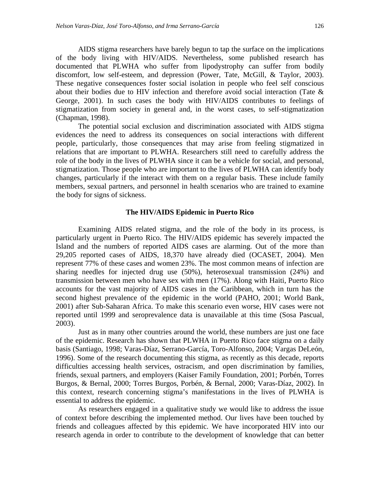AIDS stigma researchers have barely begun to tap the surface on the implications of the body living with HIV/AIDS. Nevertheless, some published research has documented that PLWHA who suffer from lipodystrophy can suffer from bodily discomfort, low self-esteem, and depression (Power, Tate, McGill, & Taylor, 2003). These negative consequences foster social isolation in people who feel self conscious about their bodies due to HIV infection and therefore avoid social interaction (Tate & George, 2001). In such cases the body with HIV/AIDS contributes to feelings of stigmatization from society in general and, in the worst cases, to self-stigmatization (Chapman, 1998).

The potential social exclusion and discrimination associated with AIDS stigma evidences the need to address its consequences on social interactions with different people, particularly, those consequences that may arise from feeling stigmatized in relations that are important to PLWHA. Researchers still need to carefully address the role of the body in the lives of PLWHA since it can be a vehicle for social, and personal, stigmatization. Those people who are important to the lives of PLWHA can identify body changes, particularly if the interact with them on a regular basis. These include family members, sexual partners, and personnel in health scenarios who are trained to examine the body for signs of sickness.

#### **The HIV/AIDS Epidemic in Puerto Rico**

Examining AIDS related stigma, and the role of the body in its process, is particularly urgent in Puerto Rico. The HIV/AIDS epidemic has severely impacted the Island and the numbers of reported AIDS cases are alarming. Out of the more than 29,205 reported cases of AIDS, 18,370 have already died (OCASET, 2004). Men represent 77% of these cases and women 23%. The most common means of infection are sharing needles for injected drug use (50%), heterosexual transmission (24%) and transmission between men who have sex with men (17%). Along with Haiti, Puerto Rico accounts for the vast majority of AIDS cases in the Caribbean, which in turn has the second highest prevalence of the epidemic in the world (PAHO, 2001; World Bank, 2001) after Sub-Saharan Africa. To make this scenario even worse, HIV cases were not reported until 1999 and seroprevalence data is unavailable at this time (Sosa Pascual, 2003).

Just as in many other countries around the world, these numbers are just one face of the epidemic. Research has shown that PLWHA in Puerto Rico face stigma on a daily basis (Santiago, 1998; Varas-Díaz, Serrano-García, Toro-Alfonso, 2004; Vargas DeLeón, 1996). Some of the research documenting this stigma, as recently as this decade, reports difficulties accessing health services, ostracism, and open discrimination by families, friends, sexual partners, and employers (Kaiser Family Foundation, 2001; Porbén, Torres Burgos, & Bernal, 2000; Torres Burgos, Porbén, & Bernal, 2000; Varas-Díaz, 2002). In this context, research concerning stigma's manifestations in the lives of PLWHA is essential to address the epidemic.

As researchers engaged in a qualitative study we would like to address the issue of context before describing the implemented method. Our lives have been touched by friends and colleagues affected by this epidemic. We have incorporated HIV into our research agenda in order to contribute to the development of knowledge that can better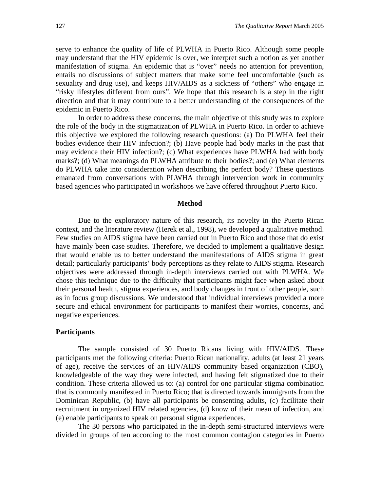serve to enhance the quality of life of PLWHA in Puerto Rico. Although some people may understand that the HIV epidemic is over, we interpret such a notion as yet another manifestation of stigma. An epidemic that is "over" needs no attention for prevention, entails no discussions of subject matters that make some feel uncomfortable (such as sexuality and drug use), and keeps HIV/AIDS as a sickness of "others" who engage in "risky lifestyles different from ours". We hope that this research is a step in the right direction and that it may contribute to a better understanding of the consequences of the epidemic in Puerto Rico.

In order to address these concerns, the main objective of this study was to explore the role of the body in the stigmatization of PLWHA in Puerto Rico. In order to achieve this objective we explored the following research questions: (a) Do PLWHA feel their bodies evidence their HIV infection?; (b) Have people had body marks in the past that may evidence their HIV infection?; (c) What experiences have PLWHA had with body marks?; (d) What meanings do PLWHA attribute to their bodies?; and (e) What elements do PLWHA take into consideration when describing the perfect body? These questions emanated from conversations with PLWHA through intervention work in community based agencies who participated in workshops we have offered throughout Puerto Rico.

#### **Method**

Due to the exploratory nature of this research, its novelty in the Puerto Rican context, and the literature review (Herek et al., 1998), we developed a qualitative method. Few studies on AIDS stigma have been carried out in Puerto Rico and those that do exist have mainly been case studies. Therefore, we decided to implement a qualitative design that would enable us to better understand the manifestations of AIDS stigma in great detail; particularly participants' body perceptions as they relate to AIDS stigma. Research objectives were addressed through in-depth interviews carried out with PLWHA. We chose this technique due to the difficulty that participants might face when asked about their personal health, stigma experiences, and body changes in front of other people, such as in focus group discussions. We understood that individual interviews provided a more secure and ethical environment for participants to manifest their worries, concerns, and negative experiences.

#### **Participants**

The sample consisted of 30 Puerto Ricans living with HIV/AIDS. These participants met the following criteria: Puerto Rican nationality, adults (at least 21 years of age), receive the services of an HIV/AIDS community based organization (CBO), knowledgeable of the way they were infected, and having felt stigmatized due to their condition. These criteria allowed us to: (a) control for one particular stigma combination that is commonly manifested in Puerto Rico; that is directed towards immigrants from the Dominican Republic, (b) have all participants be consenting adults, (c) facilitate their recruitment in organized HIV related agencies, (d) know of their mean of infection, and (e) enable participants to speak on personal stigma experiences.

The 30 persons who participated in the in-depth semi-structured interviews were divided in groups of ten according to the most common contagion categories in Puerto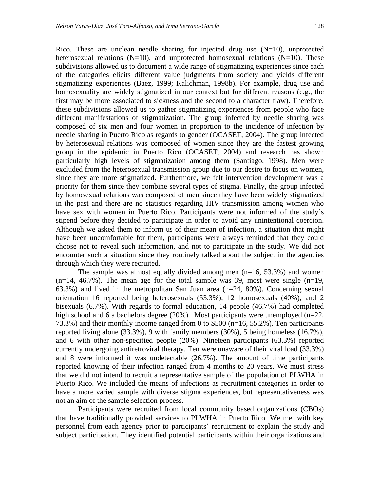Rico. These are unclean needle sharing for injected drug use  $(N=10)$ , unprotected heterosexual relations ( $N=10$ ), and unprotected homosexual relations ( $N=10$ ). These subdivisions allowed us to document a wide range of stigmatizing experiences since each of the categories elicits different value judgments from society and yields different stigmatizing experiences (Baez, 1999; Kalichman, 1998b). For example, drug use and homosexuality are widely stigmatized in our context but for different reasons (e.g., the first may be more associated to sickness and the second to a character flaw). Therefore, these subdivisions allowed us to gather stigmatizing experiences from people who face different manifestations of stigmatization. The group infected by needle sharing was composed of six men and four women in proportion to the incidence of infection by needle sharing in Puerto Rico as regards to gender (OCASET, 2004). The group infected by heterosexual relations was composed of women since they are the fastest growing group in the epidemic in Puerto Rico (OCASET, 2004) and research has shown particularly high levels of stigmatization among them (Santiago, 1998). Men were excluded from the heterosexual transmission group due to our desire to focus on women, since they are more stigmatized. Furthermore, we felt intervention development was a priority for them since they combine several types of stigma. Finally, the group infected by homosexual relations was composed of men since they have been widely stigmatized in the past and there are no statistics regarding HIV transmission among women who have sex with women in Puerto Rico. Participants were not informed of the study's stipend before they decided to participate in order to avoid any unintentional coercion. Although we asked them to inform us of their mean of infection, a situation that might have been uncomfortable for them, participants were always reminded that they could choose not to reveal such information, and not to participate in the study. We did not encounter such a situation since they routinely talked about the subject in the agencies through which they were recruited.

The sample was almost equally divided among men  $(n=16, 53.3%)$  and women  $(n=14, 46.7\%)$ . The mean age for the total sample was 39, most were single  $(n=19, 10)$ 63.3%) and lived in the metropolitan San Juan area (n=24, 80%). Concerning sexual orientation 16 reported being heterosexuals (53.3%), 12 homosexuals (40%), and 2 bisexuals (6.7%). With regards to formal education, 14 people (46.7%) had completed high school and 6 a bachelors degree (20%). Most participants were unemployed (n=22, 73.3%) and their monthly income ranged from 0 to \$500 (n=16, 55.2%). Ten participants reported living alone (33.3%), 9 with family members (30%), 5 being homeless (16.7%), and 6 with other non-specified people (20%). Nineteen participants (63.3%) reported currently undergoing antiretroviral therapy. Ten were unaware of their viral load (33.3%) and 8 were informed it was undetectable (26.7%). The amount of time participants reported knowing of their infection ranged from 4 months to 20 years. We must stress that we did not intend to recruit a representative sample of the population of PLWHA in Puerto Rico. We included the means of infections as recruitment categories in order to have a more varied sample with diverse stigma experiences, but representativeness was not an aim of the sample selection process.

Participants were recruited from local community based organizations (CBOs) that have traditionally provided services to PLWHA in Puerto Rico. We met with key personnel from each agency prior to participants' recruitment to explain the study and subject participation. They identified potential participants within their organizations and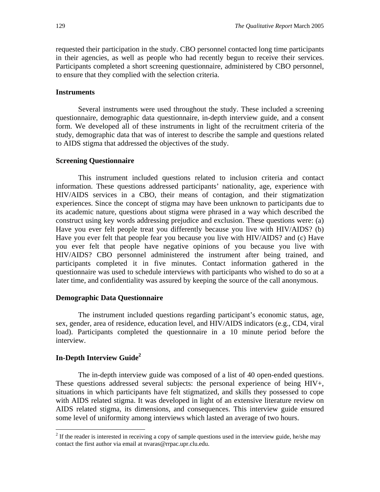requested their participation in the study. CBO personnel contacted long time participants in their agencies, as well as people who had recently begun to receive their services. Participants completed a short screening questionnaire, administered by CBO personnel, to ensure that they complied with the selection criteria.

#### **Instruments**

Several instruments were used throughout the study. These included a screening questionnaire, demographic data questionnaire, in-depth interview guide, and a consent form. We developed all of these instruments in light of the recruitment criteria of the study, demographic data that was of interest to describe the sample and questions related to AIDS stigma that addressed the objectives of the study.

#### **Screening Questionnaire**

This instrument included questions related to inclusion criteria and contact information. These questions addressed participants' nationality, age, experience with HIV/AIDS services in a CBO, their means of contagion, and their stigmatization experiences. Since the concept of stigma may have been unknown to participants due to its academic nature, questions about stigma were phrased in a way which described the construct using key words addressing prejudice and exclusion. These questions were: (a) Have you ever felt people treat you differently because you live with HIV/AIDS? (b) Have you ever felt that people fear you because you live with HIV/AIDS? and (c) Have you ever felt that people have negative opinions of you because you live with HIV/AIDS? CBO personnel administered the instrument after being trained, and participants completed it in five minutes. Contact information gathered in the questionnaire was used to schedule interviews with participants who wished to do so at a later time, and confidentiality was assured by keeping the source of the call anonymous.

#### **Demographic Data Questionnaire**

The instrument included questions regarding participant's economic status, age, sex, gender, area of residence, education level, and HIV/AIDS indicators (e.g., CD4, viral load). Participants completed the questionnaire in a 10 minute period before the interview.

## **In-Depth Interview Guide<sup>2</sup>**

 $\overline{a}$ 

The in-depth interview guide was composed of a list of 40 open-ended questions. These questions addressed several subjects: the personal experience of being HIV+, situations in which participants have felt stigmatized, and skills they possessed to cope with AIDS related stigma. It was developed in light of an extensive literature review on AIDS related stigma, its dimensions, and consequences. This interview guide ensured some level of uniformity among interviews which lasted an average of two hours.

<sup>&</sup>lt;sup>2</sup> If the reader is interested in receiving a copy of sample questions used in the interview guide, he/she may contact the first author via email at nvaras@rrpac.upr.clu.edu.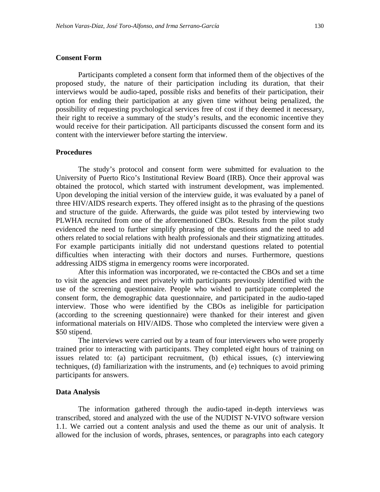#### **Consent Form**

Participants completed a consent form that informed them of the objectives of the proposed study, the nature of their participation including its duration, that their interviews would be audio-taped, possible risks and benefits of their participation, their option for ending their participation at any given time without being penalized, the possibility of requesting psychological services free of cost if they deemed it necessary, their right to receive a summary of the study's results, and the economic incentive they would receive for their participation. All participants discussed the consent form and its content with the interviewer before starting the interview.

#### **Procedures**

The study's protocol and consent form were submitted for evaluation to the University of Puerto Rico's Institutional Review Board (IRB). Once their approval was obtained the protocol, which started with instrument development, was implemented. Upon developing the initial version of the interview guide, it was evaluated by a panel of three HIV/AIDS research experts. They offered insight as to the phrasing of the questions and structure of the guide. Afterwards, the guide was pilot tested by interviewing two PLWHA recruited from one of the aforementioned CBOs. Results from the pilot study evidenced the need to further simplify phrasing of the questions and the need to add others related to social relations with health professionals and their stigmatizing attitudes. For example participants initially did not understand questions related to potential difficulties when interacting with their doctors and nurses. Furthermore, questions addressing AIDS stigma in emergency rooms were incorporated.

After this information was incorporated, we re-contacted the CBOs and set a time to visit the agencies and meet privately with participants previously identified with the use of the screening questionnaire. People who wished to participate completed the consent form, the demographic data questionnaire, and participated in the audio-taped interview. Those who were identified by the CBOs as ineligible for participation (according to the screening questionnaire) were thanked for their interest and given informational materials on HIV/AIDS. Those who completed the interview were given a \$50 stipend.

The interviews were carried out by a team of four interviewers who were properly trained prior to interacting with participants. They completed eight hours of training on issues related to: (a) participant recruitment, (b) ethical issues, (c) interviewing techniques, (d) familiarization with the instruments, and (e) techniques to avoid priming participants for answers.

#### **Data Analysis**

The information gathered through the audio-taped in-depth interviews was transcribed, stored and analyzed with the use of the NUDIST N-VIVO software version 1.1. We carried out a content analysis and used the theme as our unit of analysis. It allowed for the inclusion of words, phrases, sentences, or paragraphs into each category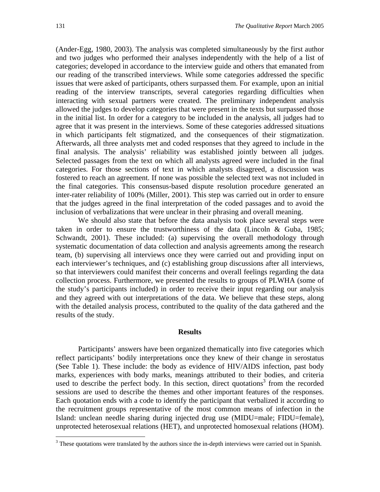(Ander-Egg, 1980, 2003). The analysis was completed simultaneously by the first author and two judges who performed their analyses independently with the help of a list of categories; developed in accordance to the interview guide and others that emanated from our reading of the transcribed interviews. While some categories addressed the specific issues that were asked of participants, others surpassed them. For example, upon an initial reading of the interview transcripts, several categories regarding difficulties when interacting with sexual partners were created. The preliminary independent analysis allowed the judges to develop categories that were present in the texts but surpassed those in the initial list. In order for a category to be included in the analysis, all judges had to agree that it was present in the interviews. Some of these categories addressed situations in which participants felt stigmatized, and the consequences of their stigmatization. Afterwards, all three analysts met and coded responses that they agreed to include in the final analysis. The analysis' reliability was established jointly between all judges. Selected passages from the text on which all analysts agreed were included in the final categories. For those sections of text in which analysts disagreed, a discussion was fostered to reach an agreement. If none was possible the selected text was not included in the final categories. This consensus-based dispute resolution procedure generated an inter-rater reliability of 100% (Miller, 2001). This step was carried out in order to ensure that the judges agreed in the final interpretation of the coded passages and to avoid the inclusion of verbalizations that were unclear in their phrasing and overall meaning.

We should also state that before the data analysis took place several steps were taken in order to ensure the trustworthiness of the data (Lincoln & Guba, 1985; Schwandt, 2001). These included: (a) supervising the overall methodology through systematic documentation of data collection and analysis agreements among the research team, (b) supervising all interviews once they were carried out and providing input on each interviewer's techniques, and (c) establishing group discussions after all interviews, so that interviewers could manifest their concerns and overall feelings regarding the data collection process. Furthermore, we presented the results to groups of PLWHA (some of the study's participants included) in order to receive their input regarding our analysis and they agreed with out interpretations of the data. We believe that these steps, along with the detailed analysis process, contributed to the quality of the data gathered and the results of the study.

#### **Results**

Participants' answers have been organized thematically into five categories which reflect participants' bodily interpretations once they knew of their change in serostatus (See Table 1). These include: the body as evidence of HIV/AIDS infection, past body marks, experiences with body marks, meanings attributed to their bodies, and criteria used to describe the perfect body. In this section, direct quotations<sup>3</sup> from the recorded sessions are used to describe the themes and other important features of the responses. Each quotation ends with a code to identify the participant that verbalized it according to the recruitment groups representative of the most common means of infection in the Island: unclean needle sharing during injected drug use (MIDU=male; FIDU=female), unprotected heterosexual relations (HET), and unprotected homosexual relations (HOM).

<sup>&</sup>lt;sup>3</sup> These quotations were translated by the authors since the in-depth interviews were carried out in Spanish.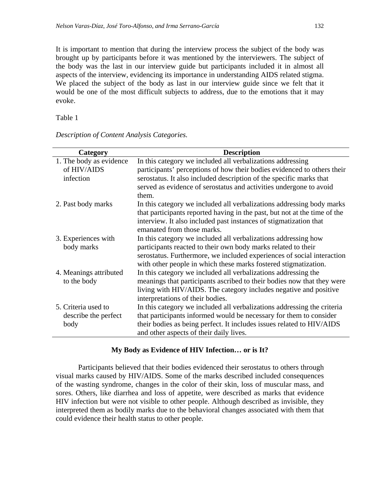It is important to mention that during the interview process the subject of the body was brought up by participants before it was mentioned by the interviewers. The subject of the body was the last in our interview guide but participants included it in almost all aspects of the interview, evidencing its importance in understanding AIDS related stigma. We placed the subject of the body as last in our interview guide since we felt that it would be one of the most difficult subjects to address, due to the emotions that it may evoke.

Table 1

| Category                | <b>Description</b>                                                        |
|-------------------------|---------------------------------------------------------------------------|
| 1. The body as evidence | In this category we included all verbalizations addressing                |
| of HIV/AIDS             | participants' perceptions of how their bodies evidenced to others their   |
| infection               | serostatus. It also included description of the specific marks that       |
|                         | served as evidence of serostatus and activities undergone to avoid        |
|                         | them.                                                                     |
| 2. Past body marks      | In this category we included all verbalizations addressing body marks     |
|                         | that participants reported having in the past, but not at the time of the |
|                         | interview. It also included past instances of stigmatization that         |
|                         | emanated from those marks.                                                |
| 3. Experiences with     | In this category we included all verbalizations addressing how            |
| body marks              | participants reacted to their own body marks related to their             |
|                         | serostatus. Furthermore, we included experiences of social interaction    |
|                         | with other people in which these marks fostered stigmatization.           |
| 4. Meanings attributed  | In this category we included all verbalizations addressing the            |
| to the body             | meanings that participants ascribed to their bodies now that they were    |
|                         | living with HIV/AIDS. The category includes negative and positive         |
|                         | interpretations of their bodies.                                          |
| 5. Criteria used to     | In this category we included all verbalizations addressing the criteria   |
| describe the perfect    | that participants informed would be necessary for them to consider        |
| body                    | their bodies as being perfect. It includes issues related to HIV/AIDS     |
|                         | and other aspects of their daily lives.                                   |

*Description of Content Analysis Categories.* 

#### **My Body as Evidence of HIV Infection… or is It?**

Participants believed that their bodies evidenced their serostatus to others through visual marks caused by HIV/AIDS. Some of the marks described included consequences of the wasting syndrome, changes in the color of their skin, loss of muscular mass, and sores. Others, like diarrhea and loss of appetite, were described as marks that evidence HIV infection but were not visible to other people. Although described as invisible, they interpreted them as bodily marks due to the behavioral changes associated with them that could evidence their health status to other people.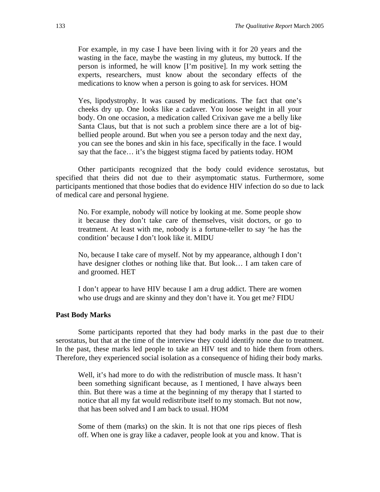For example, in my case I have been living with it for 20 years and the wasting in the face, maybe the wasting in my gluteus, my buttock. If the person is informed, he will know [I'm positive]. In my work setting the experts, researchers, must know about the secondary effects of the medications to know when a person is going to ask for services. HOM

Yes, lipodystrophy. It was caused by medications. The fact that one's cheeks dry up. One looks like a cadaver. You loose weight in all your body. On one occasion, a medication called Crixivan gave me a belly like Santa Claus, but that is not such a problem since there are a lot of bigbellied people around. But when you see a person today and the next day, you can see the bones and skin in his face, specifically in the face. I would say that the face… it's the biggest stigma faced by patients today. HOM

Other participants recognized that the body could evidence serostatus, but specified that theirs did not due to their asymptomatic status. Furthermore, some participants mentioned that those bodies that do evidence HIV infection do so due to lack of medical care and personal hygiene.

No. For example, nobody will notice by looking at me. Some people show it because they don't take care of themselves, visit doctors, or go to treatment. At least with me, nobody is a fortune-teller to say 'he has the condition' because I don't look like it. MIDU

No, because I take care of myself. Not by my appearance, although I don't have designer clothes or nothing like that. But look… I am taken care of and groomed. HET

I don't appear to have HIV because I am a drug addict. There are women who use drugs and are skinny and they don't have it. You get me? FIDU

#### **Past Body Marks**

Some participants reported that they had body marks in the past due to their serostatus, but that at the time of the interview they could identify none due to treatment. In the past, these marks led people to take an HIV test and to hide them from others. Therefore, they experienced social isolation as a consequence of hiding their body marks.

Well, it's had more to do with the redistribution of muscle mass. It hasn't been something significant because, as I mentioned, I have always been thin. But there was a time at the beginning of my therapy that I started to notice that all my fat would redistribute itself to my stomach. But not now, that has been solved and I am back to usual. HOM

Some of them (marks) on the skin. It is not that one rips pieces of flesh off. When one is gray like a cadaver, people look at you and know. That is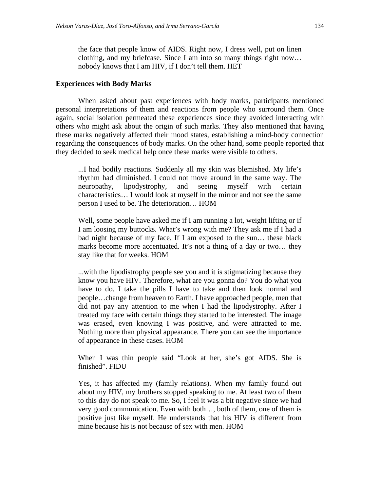the face that people know of AIDS. Right now, I dress well, put on linen clothing, and my briefcase. Since I am into so many things right now… nobody knows that I am HIV, if I don't tell them. HET

#### **Experiences with Body Marks**

When asked about past experiences with body marks, participants mentioned personal interpretations of them and reactions from people who surround them. Once again, social isolation permeated these experiences since they avoided interacting with others who might ask about the origin of such marks. They also mentioned that having these marks negatively affected their mood states, establishing a mind-body connection regarding the consequences of body marks. On the other hand, some people reported that they decided to seek medical help once these marks were visible to others.

...I had bodily reactions. Suddenly all my skin was blemished. My life's rhythm had diminished. I could not move around in the same way. The neuropathy, lipodystrophy, and seeing myself with certain characteristics… I would look at myself in the mirror and not see the same person I used to be. The deterioration… HOM

Well, some people have asked me if I am running a lot, weight lifting or if I am loosing my buttocks. What's wrong with me? They ask me if I had a bad night because of my face. If I am exposed to the sun… these black marks become more accentuated. It's not a thing of a day or two… they stay like that for weeks. HOM

...with the lipodistrophy people see you and it is stigmatizing because they know you have HIV. Therefore, what are you gonna do? You do what you have to do. I take the pills I have to take and then look normal and people…change from heaven to Earth. I have approached people, men that did not pay any attention to me when I had the lipodystrophy. After I treated my face with certain things they started to be interested. The image was erased, even knowing I was positive, and were attracted to me. Nothing more than physical appearance. There you can see the importance of appearance in these cases. HOM

When I was thin people said "Look at her, she's got AIDS. She is finished". FIDU

Yes, it has affected my (family relations). When my family found out about my HIV, my brothers stopped speaking to me. At least two of them to this day do not speak to me. So, I feel it was a bit negative since we had very good communication. Even with both…, both of them, one of them is positive just like myself. He understands that his HIV is different from mine because his is not because of sex with men. HOM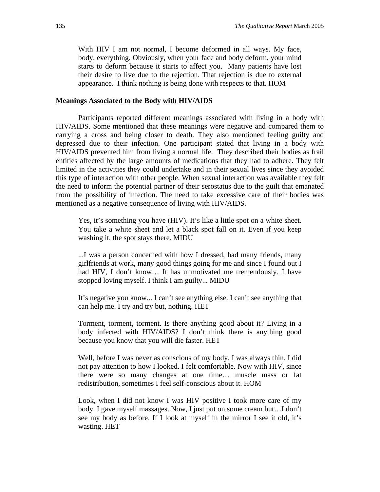With HIV I am not normal, I become deformed in all ways. My face, body, everything. Obviously, when your face and body deform, your mind starts to deform because it starts to affect you. Many patients have lost their desire to live due to the rejection. That rejection is due to external appearance. I think nothing is being done with respects to that. HOM

#### **Meanings Associated to the Body with HIV/AIDS**

Participants reported different meanings associated with living in a body with HIV/AIDS. Some mentioned that these meanings were negative and compared them to carrying a cross and being closer to death. They also mentioned feeling guilty and depressed due to their infection. One participant stated that living in a body with HIV/AIDS prevented him from living a normal life. They described their bodies as frail entities affected by the large amounts of medications that they had to adhere. They felt limited in the activities they could undertake and in their sexual lives since they avoided this type of interaction with other people. When sexual interaction was available they felt the need to inform the potential partner of their serostatus due to the guilt that emanated from the possibility of infection. The need to take excessive care of their bodies was mentioned as a negative consequence of living with HIV/AIDS.

Yes, it's something you have (HIV). It's like a little spot on a white sheet. You take a white sheet and let a black spot fall on it. Even if you keep washing it, the spot stays there. MIDU

...I was a person concerned with how I dressed, had many friends, many girlfriends at work, many good things going for me and since I found out I had HIV, I don't know... It has unmotivated me tremendously. I have stopped loving myself. I think I am guilty... MIDU

It's negative you know... I can't see anything else. I can't see anything that can help me. I try and try but, nothing. HET

Torment, torment, torment. Is there anything good about it? Living in a body infected with HIV/AIDS? I don't think there is anything good because you know that you will die faster. HET

Well, before I was never as conscious of my body. I was always thin. I did not pay attention to how I looked. I felt comfortable. Now with HIV, since there were so many changes at one time… muscle mass or fat redistribution, sometimes I feel self-conscious about it. HOM

Look, when I did not know I was HIV positive I took more care of my body. I gave myself massages. Now, I just put on some cream but…I don't see my body as before. If I look at myself in the mirror I see it old, it's wasting. HET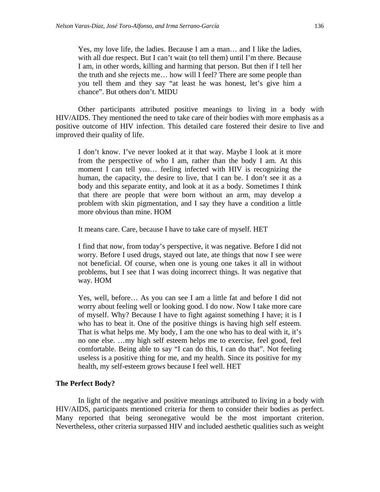Yes, my love life, the ladies. Because I am a man… and I like the ladies, with all due respect. But I can't wait (to tell them) until I'm there. Because I am, in other words, killing and harming that person. But then if I tell her the truth and she rejects me… how will I feel? There are some people than you tell them and they say "at least he was honest, let's give him a chance". But others don't. MIDU

Other participants attributed positive meanings to living in a body with HIV/AIDS. They mentioned the need to take care of their bodies with more emphasis as a positive outcome of HIV infection. This detailed care fostered their desire to live and improved their quality of life.

I don't know. I've never looked at it that way. Maybe I look at it more from the perspective of who I am, rather than the body I am. At this moment I can tell you… feeling infected with HIV is recognizing the human, the capacity, the desire to live, that I can be. I don't see it as a body and this separate entity, and look at it as a body. Sometimes I think that there are people that were born without an arm, may develop a problem with skin pigmentation, and I say they have a condition a little more obvious than mine. HOM

It means care. Care, because I have to take care of myself. HET

I find that now, from today's perspective, it was negative. Before I did not worry. Before I used drugs, stayed out late, ate things that now I see were not beneficial. Of course, when one is young one takes it all in without problems, but I see that I was doing incorrect things. It was negative that way. HOM

Yes, well, before… As you can see I am a little fat and before I did not worry about feeling well or looking good. I do now. Now I take more care of myself. Why? Because I have to fight against something I have; it is I who has to beat it. One of the positive things is having high self esteem. That is what helps me. My body, I am the one who has to deal with it, it's no one else. …my high self esteem helps me to exercise, feel good, feel comfortable. Being able to say "I can do this, I can do that". Not feeling useless is a positive thing for me, and my health. Since its positive for my health, my self-esteem grows because I feel well. HET

#### **The Perfect Body?**

In light of the negative and positive meanings attributed to living in a body with HIV/AIDS, participants mentioned criteria for them to consider their bodies as perfect. Many reported that being seronegative would be the most important criterion. Nevertheless, other criteria surpassed HIV and included aesthetic qualities such as weight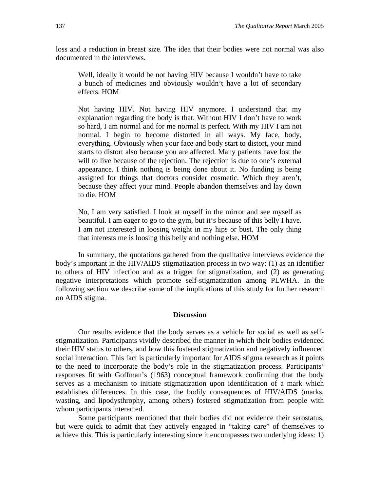loss and a reduction in breast size. The idea that their bodies were not normal was also documented in the interviews.

Well, ideally it would be not having HIV because I wouldn't have to take a bunch of medicines and obviously wouldn't have a lot of secondary effects. HOM

Not having HIV. Not having HIV anymore. I understand that my explanation regarding the body is that. Without HIV I don't have to work so hard, I am normal and for me normal is perfect. With my HIV I am not normal. I begin to become distorted in all ways. My face, body, everything. Obviously when your face and body start to distort, your mind starts to distort also because you are affected. Many patients have lost the will to live because of the rejection. The rejection is due to one's external appearance. I think nothing is being done about it. No funding is being assigned for things that doctors consider cosmetic. Which they aren't, because they affect your mind. People abandon themselves and lay down to die. HOM

No, I am very satisfied. I look at myself in the mirror and see myself as beautiful. I am eager to go to the gym, but it's because of this belly I have. I am not interested in loosing weight in my hips or bust. The only thing that interests me is loosing this belly and nothing else. HOM

In summary, the quotations gathered from the qualitative interviews evidence the body's important in the HIV/AIDS stigmatization process in two way: (1) as an identifier to others of HIV infection and as a trigger for stigmatization, and (2) as generating negative interpretations which promote self-stigmatization among PLWHA. In the following section we describe some of the implications of this study for further research on AIDS stigma.

#### **Discussion**

Our results evidence that the body serves as a vehicle for social as well as selfstigmatization. Participants vividly described the manner in which their bodies evidenced their HIV status to others, and how this fostered stigmatization and negatively influenced social interaction. This fact is particularly important for AIDS stigma research as it points to the need to incorporate the body's role in the stigmatization process. Participants' responses fit with Goffman's (1963) conceptual framework confirming that the body serves as a mechanism to initiate stigmatization upon identification of a mark which establishes differences. In this case, the bodily consequences of HIV/AIDS (marks, wasting, and lipodysthrophy, among others) fostered stigmatization from people with whom participants interacted.

Some participants mentioned that their bodies did not evidence their serostatus, but were quick to admit that they actively engaged in "taking care" of themselves to achieve this. This is particularly interesting since it encompasses two underlying ideas: 1)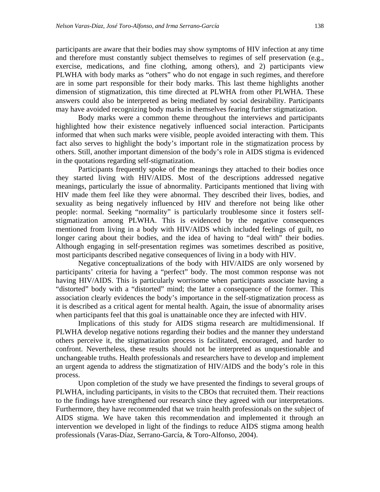participants are aware that their bodies may show symptoms of HIV infection at any time and therefore must constantly subject themselves to regimes of self preservation (e.g., exercise, medications, and fine clothing, among others), and 2) participants view PLWHA with body marks as "others" who do not engage in such regimes, and therefore are in some part responsible for their body marks. This last theme highlights another dimension of stigmatization, this time directed at PLWHA from other PLWHA. These answers could also be interpreted as being mediated by social desirability. Participants may have avoided recognizing body marks in themselves fearing further stigmatization.

Body marks were a common theme throughout the interviews and participants highlighted how their existence negatively influenced social interaction. Participants informed that when such marks were visible, people avoided interacting with them. This fact also serves to highlight the body's important role in the stigmatization process by others. Still, another important dimension of the body's role in AIDS stigma is evidenced in the quotations regarding self-stigmatization.

Participants frequently spoke of the meanings they attached to their bodies once they started living with HIV/AIDS. Most of the descriptions addressed negative meanings, particularly the issue of abnormality. Participants mentioned that living with HIV made them feel like they were abnormal. They described their lives, bodies, and sexuality as being negatively influenced by HIV and therefore not being like other people: normal. Seeking "normality" is particularly troublesome since it fosters selfstigmatization among PLWHA. This is evidenced by the negative consequences mentioned from living in a body with HIV/AIDS which included feelings of guilt, no longer caring about their bodies, and the idea of having to "deal with" their bodies. Although engaging in self-presentation regimes was sometimes described as positive, most participants described negative consequences of living in a body with HIV.

Negative conceptualizations of the body with HIV/AIDS are only worsened by participants' criteria for having a "perfect" body. The most common response was not having HIV/AIDS. This is particularly worrisome when participants associate having a "distorted" body with a "distorted" mind; the latter a consequence of the former. This association clearly evidences the body's importance in the self-stigmatization process as it is described as a critical agent for mental health. Again, the issue of abnormality arises when participants feel that this goal is unattainable once they are infected with HIV.

Implications of this study for AIDS stigma research are multidimensional. If PLWHA develop negative notions regarding their bodies and the manner they understand others perceive it, the stigmatization process is facilitated, encouraged, and harder to confront. Nevertheless, these results should not be interpreted as unquestionable and unchangeable truths. Health professionals and researchers have to develop and implement an urgent agenda to address the stigmatization of HIV/AIDS and the body's role in this process.

Upon completion of the study we have presented the findings to several groups of PLWHA, including participants, in visits to the CBOs that recruited them. Their reactions to the findings have strengthened our research since they agreed with our interpretations. Furthermore, they have recommended that we train health professionals on the subject of AIDS stigma. We have taken this recommendation and implemented it through an intervention we developed in light of the findings to reduce AIDS stigma among health professionals (Varas-Díaz, Serrano-García, & Toro-Alfonso, 2004).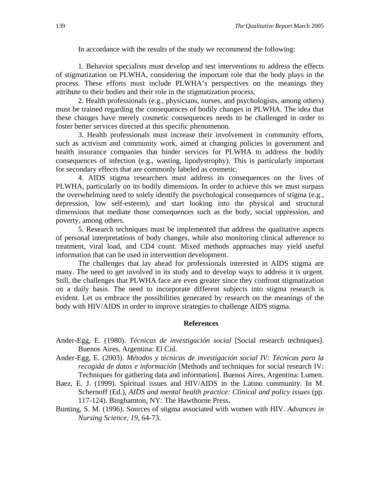In accordance with the results of the study we recommend the following:

1. Behavior specialists must develop and test interventions to address the effects of stigmatization on PLWHA, considering the important role that the body plays in the process. These efforts must include PLWHA's perspectives on the meanings they attribute to their bodies and their role in the stigmatization process.

2. Health professionals (e.g., physicians, nurses, and psychologists, among others) must be trained regarding the consequences of bodily changes in PLWHA. The idea that these changes have merely cosmetic consequences needs to be challenged in order to foster better services directed at this specific phenomenon.

3. Health professionals must increase their involvement in community efforts, such as activism and community work, aimed at changing policies in government and health insurance companies that hinder services for PLWHA to address the bodily consequences of infection (e.g., wasting, lipodystrophy). This is particularly important for secondary effects that are commonly labeled as cosmetic.

4. AIDS stigma researchers must address its consequences on the lives of PLWHA, particularly on its bodily dimensions. In order to achieve this we must surpass the overwhelming need to solely identify the psychological consequences of stigma (e.g., depression, low self-esteem), and start looking into the physical and structural dimensions that mediate those consequences such as the body, social oppression, and poverty, among others.

5. Research techniques must be implemented that address the qualitative aspects of personal interpretations of body changes, while also monitoring clinical adherence to treatment, viral load, and CD4 count. Mixed methods approaches may yield useful information that can be used in intervention development.

The challenges that lay ahead for professionals interested in AIDS stigma are many. The need to get involved in its study and to develop ways to address it is urgent. Still, the challenges that PLWHA face are even greater since they confront stigmatization on a daily basis. The need to incorporate different subjects into stigma research is evident. Let us embrace the possibilities generated by research on the meanings of the body with HIV/AIDS in order to improve strategies to challenge AIDS stigma.

#### **References**

- Ander-Egg, E. (1980). *Técnicas de investigación social* [Social research techniques]. Buenos Aires, Argentina: El Cid.
- Ander-Egg, E. (2003). *Métodos y técnicas de investigación social IV: Técnicas para la recogida de datos e información* [Methods and techniques for social research IV: Techniques for gathering data and information]. Buenos Aires, Argentina: Lumen.
- Baez, E. J. (1999). Spiritual issues and HIV/AIDS in the Latino community. In M. Schernoff (Ed.), *AIDS and mental health practice: Clinical and policy issues* (pp. 117-124). Binghamton, NY: The Hawthorne Press.
- Bunting, S. M. (1996). Sources of stigma associated with women with HIV. *Advances in Nursing Science, 19*, 64-73.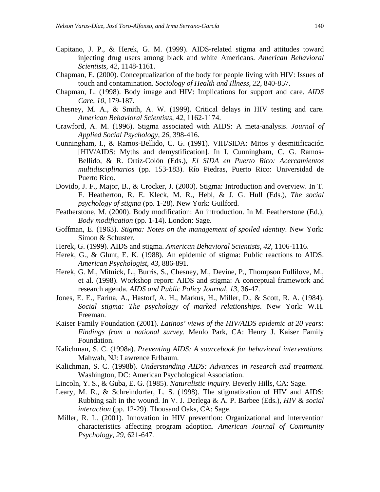- Capitano, J. P., & Herek, G. M. (1999). AIDS-related stigma and attitudes toward injecting drug users among black and white Americans. *American Behavioral Scientists, 42*, 1148-1161.
- Chapman, E. (2000). Conceptualization of the body for people living with HIV: Issues of touch and contamination. *Sociology of Health and Illness, 22*, 840-857.
- Chapman, L. (1998). Body image and HIV: Implications for support and care. *AIDS Care, 10*, 179-187.
- Chesney, M. A., & Smith, A. W. (1999). Critical delays in HIV testing and care. *American Behavioral Scientists, 42*, 1162-1174.
- Crawford, A. M. (1996). Stigma associated with AIDS: A meta-analysis. *Journal of Applied Social Psychology, 26,* 398-416.
- Cunningham, I., & Ramos-Bellido, C. G. (1991). VIH/SIDA: Mitos y desmitificación [HIV/AIDS: Myths and demystification]. In I. Cunningham, C. G. Ramos-Bellido, & R. Ortíz-Colón (Eds.), *El SIDA en Puerto Rico: Acercamientos multidisciplinarios* (pp. 153-183). Río Piedras, Puerto Rico: Universidad de Puerto Rico.
- Dovido, J. F., Major, B., & Crocker, J. (2000). Stigma: Introduction and overview. In T. F. Heatherton, R. E. Kleck, M. R., Hebl, & J. G. Hull (Eds.), *The social psychology of stigma* (pp. 1-28). New York: Guilford.
- Featherstone, M. (2000). Body modification: An introduction. In M. Featherstone (Ed.), *Body modification* (pp. 1-14). London: Sage.
- Goffman, E. (1963). *Stigma: Notes on the management of spoiled identity*. New York: Simon & Schuster.
- Herek, G. (1999). AIDS and stigma. *American Behavioral Scientists, 42*, 1106-1116.
- Herek, G., & Glunt, E. K. (1988). An epidemic of stigma: Public reactions to AIDS. *American Psychologist, 43*, 886-891.
- Herek, G. M., Mitnick, L., Burris, S., Chesney, M., Devine, P., Thompson Fullilove, M., et al. (1998). Workshop report: AIDS and stigma: A conceptual framework and research agenda. *AIDS and Public Policy Journal, 13*, 36-47.
- Jones, E. E., Farina, A., Hastorf, A. H., Markus, H., Miller, D., & Scott, R. A. (1984). *Social stigma: The psychology of marked relationships*. New York: W.H. Freeman.
- Kaiser Family Foundation (2001). *Latinos' views of the HIV/AIDS epidemic at 20 years: Findings from a national survey*. Menlo Park, CA: Henry J. Kaiser Family Foundation.
- Kalichman, S. C. (1998a). *Preventing AIDS: A sourcebook for behavioral interventions*. Mahwah, NJ: Lawrence Erlbaum.
- Kalichman, S. C. (1998b). *Understanding AIDS: Advances in research and treatment*. Washington, DC: American Psychological Association.
- Lincoln, Y. S., & Guba, E. G. (1985). *Naturalistic inquiry*. Beverly Hills, CA: Sage.
- Leary, M. R., & Schreindorfer, L. S. (1998). The stigmatization of HIV and AIDS: Rubbing salt in the wound. In V. J. Derlega & A. P. Barbee (Eds.), *HIV & social interaction* (pp. 12-29). Thousand Oaks, CA: Sage.
- Miller, R. L. (2001). Innovation in HIV prevention: Organizational and intervention characteristics affecting program adoption. *American Journal of Community Psychology, 29*, 621-647.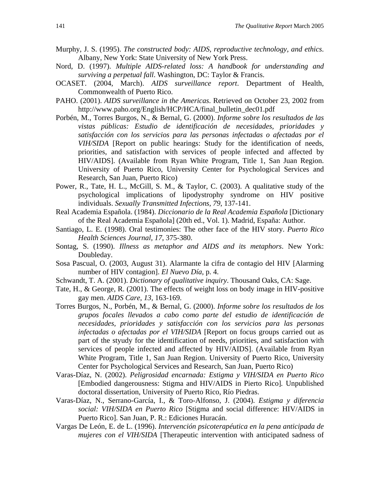- Murphy, J. S. (1995). *The constructed body: AIDS, reproductive technology, and ethics*. Albany, New York: State University of New York Press.
- Nord, D. (1997). *Multiple AIDS-related loss: A handbook for understanding and surviving a perpetual fall*. Washington, DC: Taylor & Francis.
- OCASET. (2004, March). *AIDS surveillance report*. Department of Health, Commonwealth of Puerto Rico.
- PAHO. (2001). *AIDS surveillance in the Americas*. Retrieved on October 23, 2002 from http://www.paho.org/English/HCP/HCA/final\_bulletin\_dec01.pdf
- Porbén, M., Torres Burgos, N., & Bernal, G. (2000). *Informe sobre los resultados de las vistas públicas: Estudio de identificación de necesidades, prioridades y satisfacción con los servicios para las personas infectadas o afectadas por el VIH/SIDA* [Report on public hearings: Study for the identification of needs, priorities, and satisfaction with services of people infected and affected by HIV/AIDS]. (Available from Ryan White Program, Title 1, San Juan Region. University of Puerto Rico, University Center for Psychological Services and Research, San Juan, Puerto Rico)
- Power, R., Tate, H. L., McGill, S. M., & Taylor, C. (2003). A qualitative study of the psychological implications of lipodystrophy syndrome on HIV positive individuals. *Sexually Transmitted Infections, 79*, 137-141.
- Real Academia Española. (1984). *Diccionario de la Real Academia Española* [Dictionary of the Real Academia Española] (20th ed., Vol. 1). Madrid, España: Author.
- Santiago, L. E. (1998). Oral testimonies: The other face of the HIV story. *Puerto Rico Health Sciences Journal, 17*, 375-380.
- Sontag, S. (1990). *Illness as metaphor and AIDS and its metaphors*. New York: Doubleday.
- Sosa Pascual, O. (2003, August 31). Alarmante la cifra de contagio del HIV [Alarming number of HIV contagion]. *El Nuevo Día*, p. 4.
- Schwandt, T. A. (2001). *Dictionary of qualitative inquiry*. Thousand Oaks, CA: Sage.
- Tate, H., & George, R. (2001). The effects of weight loss on body image in HIV-positive gay men. *AIDS Care, 13,* 163-169.
- Torres Burgos, N., Porbén, M., & Bernal, G. (2000). *Informe sobre los resultados de los grupos focales llevados a cabo como parte del estudio de identificación de necesidades, prioridades y satisfacción con los servicios para las personas infectadas o afectadas por el VIH/SIDA* [Report on focus groups carried out as part of the styudy for the identification of needs, priorities, and satisfaction with services of people infected and affected by HIV/AIDS]. (Available from Ryan White Program, Title 1, San Juan Region. University of Puerto Rico, University Center for Psychological Services and Research, San Juan, Puerto Rico)
- Varas-Díaz, N. (2002). *Peligrosidad encarnada: Estigma y VIH/SIDA en Puerto Rico*  [Embodied dangerousness: Stigma and HIV/AIDS in Pierto Rico]*.* Unpublished doctoral dissertation, University of Puerto Rico, Río Piedras.
- Varas-Díaz, N., Serrano-García, I., & Toro-Alfonso, J. (2004). *Estigma y diferencia social: VIH/SIDA en Puerto Rico* [Stigma and social difference: HIV/AIDS in Puerto Rico]. San Juan, P. R.: Ediciones Huracán.
- Vargas De León, E. de L. (1996). *Intervención psicoterapéutica en la pena anticipada de mujeres con el VIH/SIDA* [Therapeutic intervention with anticipated sadness of